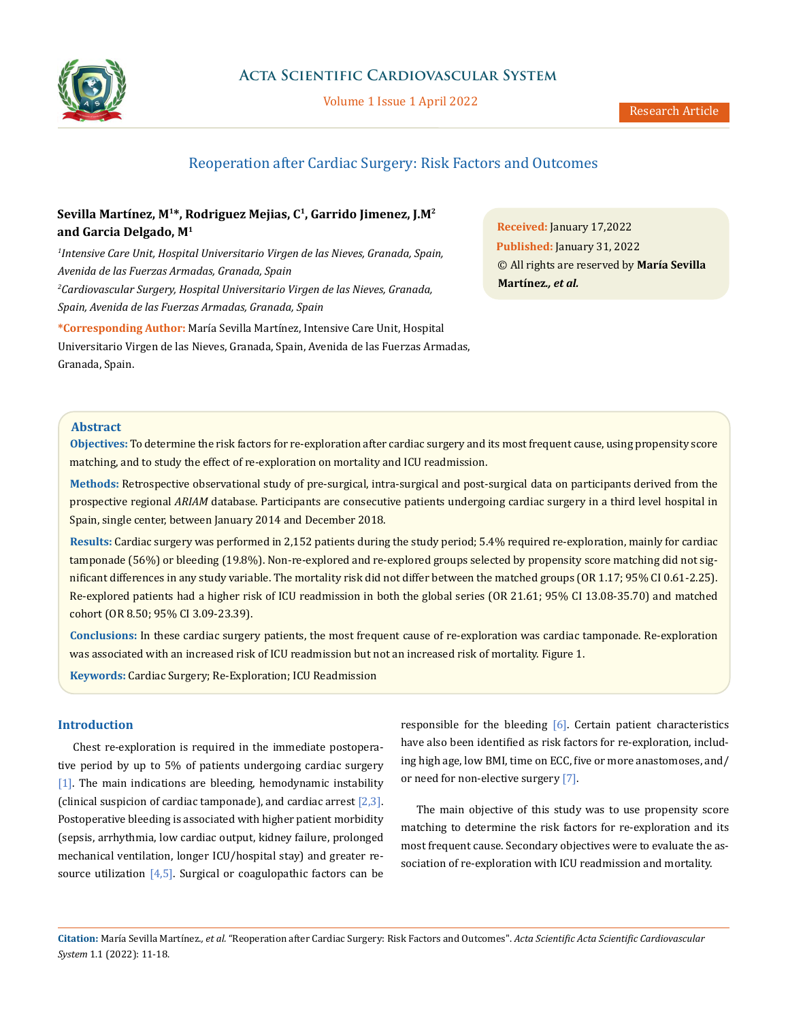

# **Acta Scientific Cardiovascular System**

Volume 1 Issue 1 April 2022

# Reoperation after Cardiac Surgery: Risk Factors and Outcomes

# **Sevilla Martínez, M1\*, Rodriguez Mejias, C1, Garrido Jimenez, J.M2 and Garcia Delgado, M1**

*1 Intensive Care Unit, Hospital Universitario Virgen de las Nieves, Granada, Spain, Avenida de las Fuerzas Armadas, Granada, Spain 2 Cardiovascular Surgery, Hospital Universitario Virgen de las Nieves, Granada, Spain, Avenida de las Fuerzas Armadas, Granada, Spain*

**\*Corresponding Author:** María Sevilla Martínez, Intensive Care Unit, Hospital Universitario Virgen de las Nieves, Granada, Spain, Avenida de las Fuerzas Armadas, Granada, Spain.

**Received:** January 17,2022 **Published:** January 31, 2022 © All rights are reserved by **María Sevilla Martínez***., et al.*

# **Abstract**

**Objectives:** To determine the risk factors for re-exploration after cardiac surgery and its most frequent cause, using propensity score matching, and to study the effect of re-exploration on mortality and ICU readmission.

**Methods:** Retrospective observational study of pre-surgical, intra-surgical and post-surgical data on participants derived from the prospective regional *ARIAM* database. Participants are consecutive patients undergoing cardiac surgery in a third level hospital in Spain, single center, between January 2014 and December 2018.

**Results:** Cardiac surgery was performed in 2,152 patients during the study period; 5.4% required re-exploration, mainly for cardiac tamponade (56%) or bleeding (19.8%). Non-re-explored and re-explored groups selected by propensity score matching did not significant differences in any study variable. The mortality risk did not differ between the matched groups (OR 1.17; 95% CI 0.61-2.25). Re-explored patients had a higher risk of ICU readmission in both the global series (OR 21.61; 95% CI 13.08-35.70) and matched cohort (OR 8.50; 95% CI 3.09-23.39).

**Conclusions:** In these cardiac surgery patients, the most frequent cause of re-exploration was cardiac tamponade. Re-exploration was associated with an increased risk of ICU readmission but not an increased risk of mortality. Figure 1.

**Keywords:** Cardiac Surgery; Re-Exploration; ICU Readmission

# **Introduction**

Chest re-exploration is required in the immediate postoperative period by up to 5% of patients undergoing cardiac surgery [1]. The main indications are bleeding, hemodynamic instability (clinical suspicion of cardiac tamponade), and cardiac arrest  $[2,3]$ . Postoperative bleeding is associated with higher patient morbidity (sepsis, arrhythmia, low cardiac output, kidney failure, prolonged mechanical ventilation, longer ICU/hospital stay) and greater resource utilization  $[4,5]$ . Surgical or coagulopathic factors can be responsible for the bleeding  $[6]$ . Certain patient characteristics have also been identified as risk factors for re-exploration, including high age, low BMI, time on ECC, five or more anastomoses, and/ or need for non-elective surgery [7].

The main objective of this study was to use propensity score matching to determine the risk factors for re-exploration and its most frequent cause. Secondary objectives were to evaluate the association of re-exploration with ICU readmission and mortality.

**Citation:** María Sevilla Martínez*., et al.* "Reoperation after Cardiac Surgery: Risk Factors and Outcomes". *Acta Scientific Acta Scientific Cardiovascular System* 1.1 (2022): 11-18.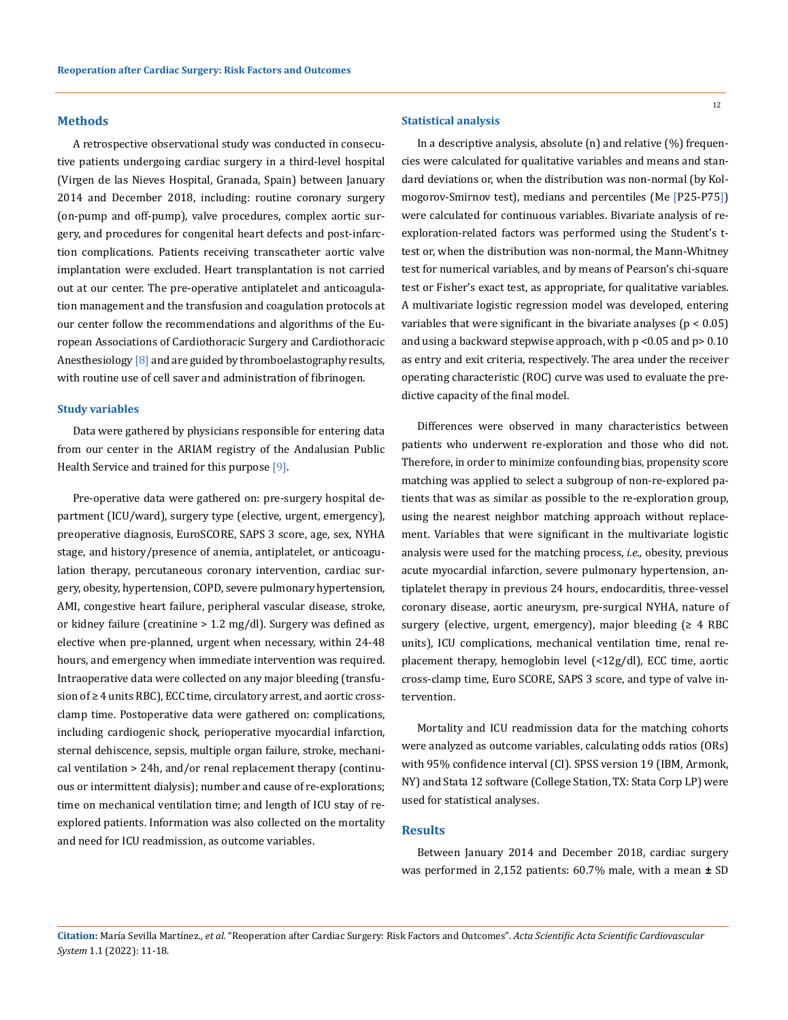### **Methods**

A retrospective observational study was conducted in consecutive patients undergoing cardiac surgery in a third-level hospital (Virgen de las Nieves Hospital, Granada, Spain) between January 2014 and December 2018, including: routine coronary surgery (on-pump and off-pump), valve procedures, complex aortic surgery, and procedures for congenital heart defects and post-infarction complications. Patients receiving transcatheter aortic valve implantation were excluded. Heart transplantation is not carried out at our center. The pre-operative antiplatelet and anticoagulation management and the transfusion and coagulation protocols at our center follow the recommendations and algorithms of the European Associations of Cardiothoracic Surgery and Cardiothoracic Anesthesiology [8] and are guided by thromboelastography results, with routine use of cell saver and administration of fibrinogen.

#### **Study variables**

Data were gathered by physicians responsible for entering data from our center in the ARIAM registry of the Andalusian Public Health Service and trained for this purpose [9].

Pre-operative data were gathered on: pre-surgery hospital department (ICU/ward), surgery type (elective, urgent, emergency), preoperative diagnosis, EuroSCORE, SAPS 3 score, age, sex, NYHA stage, and history/presence of anemia, antiplatelet, or anticoagulation therapy, percutaneous coronary intervention, cardiac surgery, obesity, hypertension, COPD, severe pulmonary hypertension, AMI, congestive heart failure, peripheral vascular disease, stroke, or kidney failure (creatinine > 1.2 mg/dl). Surgery was defined as elective when pre-planned, urgent when necessary, within 24-48 hours, and emergency when immediate intervention was required. Intraoperative data were collected on any major bleeding (transfusion of ≥ 4 units RBC), ECC time, circulatory arrest, and aortic crossclamp time. Postoperative data were gathered on: complications, including cardiogenic shock, perioperative myocardial infarction, sternal dehiscence, sepsis, multiple organ failure, stroke, mechanical ventilation > 24h, and/or renal replacement therapy (continuous or intermittent dialysis); number and cause of re-explorations; time on mechanical ventilation time; and length of ICU stay of reexplored patients. Information was also collected on the mortality and need for ICU readmission, as outcome variables.

### **Statistical analysis**

In a descriptive analysis, absolute (n) and relative (%) frequencies were calculated for qualitative variables and means and standard deviations or, when the distribution was non-normal (by Kolmogorov-Smirnov test), medians and percentiles (Me [P25-P75]) were calculated for continuous variables. Bivariate analysis of reexploration-related factors was performed using the Student's ttest or, when the distribution was non-normal, the Mann-Whitney test for numerical variables, and by means of Pearson's chi-square test or Fisher's exact test, as appropriate, for qualitative variables. A multivariate logistic regression model was developed, entering variables that were significant in the bivariate analyses ( $p < 0.05$ ) and using a backward stepwise approach, with p <0.05 and p> 0.10 as entry and exit criteria, respectively. The area under the receiver operating characteristic (ROC) curve was used to evaluate the predictive capacity of the final model.

Differences were observed in many characteristics between patients who underwent re-exploration and those who did not. Therefore, in order to minimize confounding bias, propensity score matching was applied to select a subgroup of non-re-explored patients that was as similar as possible to the re-exploration group, using the nearest neighbor matching approach without replacement. Variables that were significant in the multivariate logistic analysis were used for the matching process, *i.e.,* obesity, previous acute myocardial infarction, severe pulmonary hypertension, antiplatelet therapy in previous 24 hours, endocarditis, three-vessel coronary disease, aortic aneurysm, pre-surgical NYHA, nature of surgery (elective, urgent, emergency), major bleeding ( $\geq 4$  RBC units), ICU complications, mechanical ventilation time, renal replacement therapy, hemoglobin level (<12g/dl), ECC time, aortic cross-clamp time, Euro SCORE, SAPS 3 score, and type of valve intervention.

Mortality and ICU readmission data for the matching cohorts were analyzed as outcome variables, calculating odds ratios (ORs) with 95% confidence interval (CI). SPSS version 19 (IBM, Armonk, NY) and Stata 12 software (College Station, TX: Stata Corp LP) were used for statistical analyses.

## **Results**

Between January 2014 and December 2018, cardiac surgery was performed in 2,152 patients: 60.7% male, with a mean **±** SD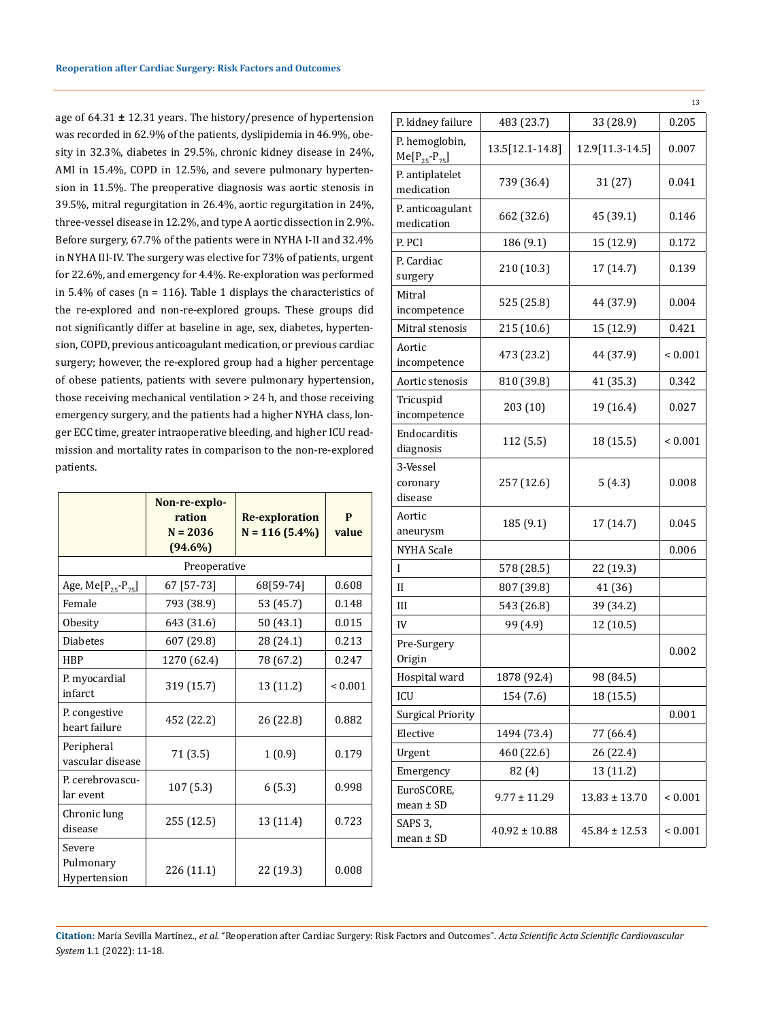age of 64.31 **±** 12.31 years. The history/presence of hypertension was recorded in 62.9% of the patients, dyslipidemia in 46.9%, obesity in 32.3%, diabetes in 29.5%, chronic kidney disease in 24%, AMI in 15.4%, COPD in 12.5%, and severe pulmonary hypertension in 11.5%. The preoperative diagnosis was aortic stenosis in 39.5%, mitral regurgitation in 26.4%, aortic regurgitation in 24%, three-vessel disease in 12.2%, and type A aortic dissection in 2.9%. Before surgery, 67.7% of the patients were in NYHA I-II and 32.4% in NYHA III-IV. The surgery was elective for 73% of patients, urgent for 22.6%, and emergency for 4.4%. Re-exploration was performed in 5.4% of cases ( $n = 116$ ). Table 1 displays the characteristics of the re-explored and non-re-explored groups. These groups did not significantly differ at baseline in age, sex, diabetes, hypertension, COPD, previous anticoagulant medication, or previous cardiac surgery; however, the re-explored group had a higher percentage of obese patients, patients with severe pulmonary hypertension, those receiving mechanical ventilation > 24 h, and those receiving emergency surgery, and the patients had a higher NYHA class, longer ECC time, greater intraoperative bleeding, and higher ICU readmission and mortality rates in comparison to the non-re-explored patients.

|                                     | Non-re-explo-<br>ration<br>$N = 2036$<br>$(94.6\%)$ | <b>Re-exploration</b><br>$N = 116(5.4\%)$ | P<br>value   |
|-------------------------------------|-----------------------------------------------------|-------------------------------------------|--------------|
|                                     | Preoperative                                        |                                           |              |
| Age, Me $[P_{25} - P_{75}]$         | 67 [57-73]                                          | 68[59-74]                                 | 0.608        |
| Female                              | 793 (38.9)                                          | 53 (45.7)                                 | 0.148        |
| Obesity                             | 643 (31.6)                                          | 50 (43.1)                                 | 0.015        |
| <b>Diabetes</b>                     | 607 (29.8)                                          | 28 (24.1)                                 | 0.213        |
| <b>HBP</b>                          | 1270 (62.4)                                         | 78 (67.2)                                 | 0.247        |
| P. myocardial<br>infarct            | 319 (15.7)                                          | 13 (11.2)                                 | ${}_{0.001}$ |
| P. congestive<br>heart failure      | 452 (22.2)                                          | 26 (22.8)                                 | 0.882        |
| Peripheral<br>vascular disease      | 71 (3.5)                                            | 1(0.9)                                    | 0.179        |
| P. cerebrovascu-<br>lar event       | 107 (5.3)                                           | 6(5.3)                                    | 0.998        |
| Chronic lung<br>disease             | 255 (12.5)                                          | 13 (11.4)                                 | 0.723        |
| Severe<br>Pulmonary<br>Hypertension | 226 (11.1)                                          | 22 (19.3)                                 | 0.008        |

|                                         |                   |                   | 13          |
|-----------------------------------------|-------------------|-------------------|-------------|
| P. kidney failure                       | 483 (23.7)        | 33 (28.9)         | 0.205       |
| P. hemoglobin,<br>$Me[P_{25} - P_{75}]$ | 13.5[12.1-14.8]   | 12.9[11.3-14.5]   | 0.007       |
| P. antiplatelet<br>medication           | 739 (36.4)        | 31 (27)           | 0.041       |
| P. anticoagulant<br>medication          | 662 (32.6)        | 45 (39.1)         | 0.146       |
| P. PCI                                  | 186 (9.1)         | 15 (12.9)         | 0.172       |
| P. Cardiac<br>surgery                   | 210 (10.3)        | 17 (14.7)         | 0.139       |
| Mitral<br>incompetence                  | 525 (25.8)        | 44 (37.9)         | 0.004       |
| Mitral stenosis                         | 215 (10.6)        | 15 (12.9)         | 0.421       |
| Aortic<br>incompetence                  | 473 (23.2)        | 44 (37.9)         | ${}< 0.001$ |
| Aortic stenosis                         | 810 (39.8)        | 41 (35.3)         | 0.342       |
| Tricuspid<br>incompetence               | 203 (10)          | 19 (16.4)         | 0.027       |
| Endocarditis<br>diagnosis               | 112 (5.5)         | 18 (15.5)         | ${}< 0.001$ |
| 3-Vessel<br>coronary<br>disease         | 257 (12.6)        | 5(4.3)            | 0.008       |
| Aortic<br>aneurysm                      | 185 (9.1)         | 17 (14.7)         | 0.045       |
| <b>NYHA Scale</b>                       |                   |                   | 0.006       |
| L                                       | 578 (28.5)        | 22 (19.3)         |             |
| H                                       | 807 (39.8)        | 41 (36)           |             |
| III                                     | 543 (26.8)        | 39 (34.2)         |             |
| IV                                      | 99 (4.9)          | 12 (10.5)         |             |
| Pre-Surgery<br>Origin                   |                   |                   | 0.002       |
| Hospital ward                           | 1878 (92.4)       | 98 (84.5)         |             |
| ICU                                     | 154 (7.6)         | 18 (15.5)         |             |
| <b>Surgical Priority</b>                |                   |                   | 0.001       |
| Elective                                | 1494 (73.4)       | 77 (66.4)         |             |
| Urgent                                  | 460 (22.6)        | 26 (22.4)         |             |
| Emergency                               | 82 (4)            | 13 (11.2)         |             |
| EuroSCORE,<br>$mean \pm SD$             | $9.77 \pm 11.29$  | $13.83 \pm 13.70$ | ${}< 0.001$ |
| SAPS 3,<br>$mean \pm SD$                | $40.92 \pm 10.88$ | 45.84 ± 12.53     | ${}< 0.001$ |

**Citation:** María Sevilla Martínez*., et al.* "Reoperation after Cardiac Surgery: Risk Factors and Outcomes". *Acta Scientific Acta Scientific Cardiovascular System* 1.1 (2022): 11-18.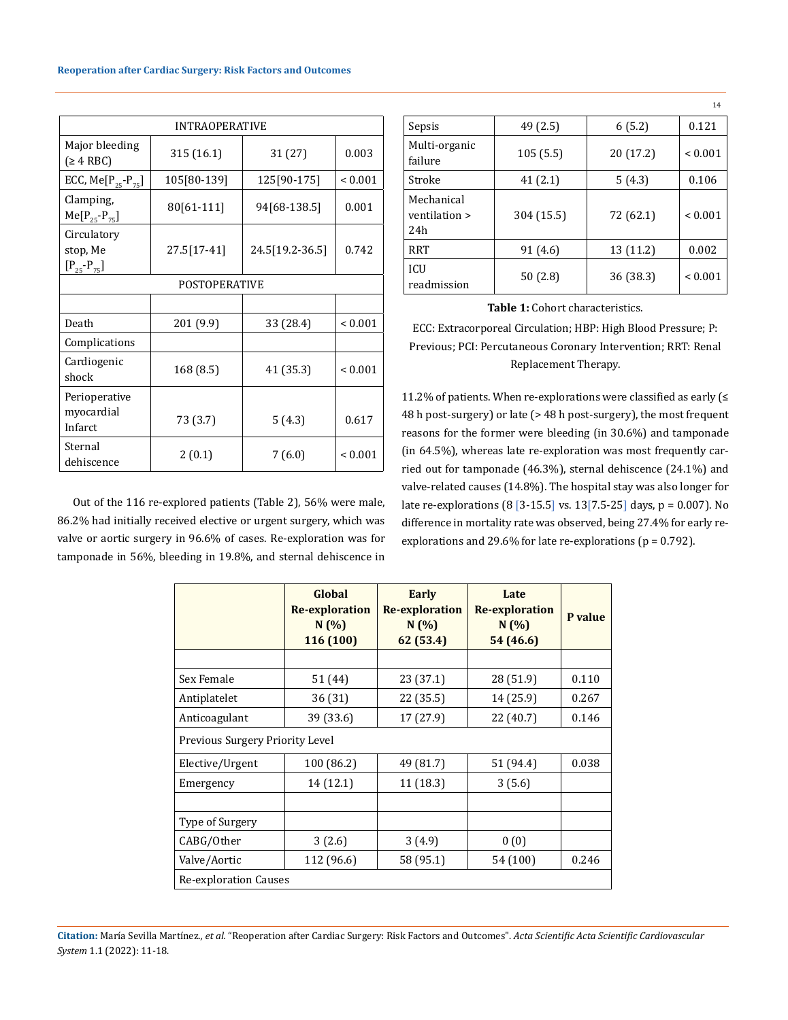| <b>INTRAOPERATIVE</b>                          |                       |                 |              |  |  |  |
|------------------------------------------------|-----------------------|-----------------|--------------|--|--|--|
| Major bleeding<br>(≥ 4 RBC)                    | 31 (27)<br>315 (16.1) |                 | 0.003        |  |  |  |
| ECC, Me $[P_{25} - P_{75}]$                    | 105[80-139]           | 125[90-175]     | ${}_{0.001}$ |  |  |  |
| Clamping,<br>$Me[P_{25} - P_{75}]$             | 80[61-111]            | 94[68-138.5]    | 0.001        |  |  |  |
| Circulatory<br>stop, Me<br>$[P_{25} - P_{75}]$ | 27.5[17-41]           | 24.5[19.2-36.5] | 0.742        |  |  |  |
|                                                | POSTOPERATIVE         |                 |              |  |  |  |
|                                                |                       |                 |              |  |  |  |
| Death                                          | 201 (9.9)             | 33 (28.4)       | ${}< 0.001$  |  |  |  |
| Complications                                  |                       |                 |              |  |  |  |
| Cardiogenic<br>shock                           | 168 (8.5)             | 41 (35.3)       | < 0.001      |  |  |  |
| Perioperative<br>myocardial<br>Infarct         | 73 (3.7)              | 5(4.3)          | 0.617        |  |  |  |
| Sternal<br>dehiscence                          | 2(0.1)                | 7(6.0)          | ${}_{0.001}$ |  |  |  |

Out of the 116 re-explored patients (Table 2), 56% were male, 86.2% had initially received elective or urgent surgery, which was valve or aortic surgery in 96.6% of cases. Re-exploration was for tamponade in 56%, bleeding in 19.8%, and sternal dehiscence in

|                                                 |            |           | 14           |
|-------------------------------------------------|------------|-----------|--------------|
| Sepsis                                          | 49 (2.5)   | 6(5.2)    | 0.121        |
| Multi-organic<br>failure                        | 105(5.5)   | 20 (17.2) | ${}_{0.001}$ |
| Stroke                                          | 41(2.1)    | 5(4.3)    | 0.106        |
| Mechanical<br>ventilation ><br>2.4 <sub>h</sub> | 304 (15.5) | 72 (62.1) | ${}_{0.001}$ |
| <b>RRT</b>                                      | 91 (4.6)   | 13 (11.2) | 0.002        |
| <b>ICU</b><br>readmission                       | 50(2.8)    | 36 (38.3) | ${}< 0.001$  |

14

**Table 1:** Cohort characteristics.

ECC: Extracorporeal Circulation; HBP: High Blood Pressure; P: Previous; PCI: Percutaneous Coronary Intervention; RRT: Renal Replacement Therapy.

11.2% of patients. When re-explorations were classified as early (≤ 48 h post-surgery) or late (> 48 h post-surgery), the most frequent reasons for the former were bleeding (in 30.6%) and tamponade (in 64.5%), whereas late re-exploration was most frequently carried out for tamponade (46.3%), sternal dehiscence (24.1%) and valve-related causes (14.8%). The hospital stay was also longer for late re-explorations (8 [3-15.5] vs. 13[7.5-25] days, p = 0.007). No difference in mortality rate was observed, being 27.4% for early reexplorations and 29.6% for late re-explorations ( $p = 0.792$ ).

|                                 | Global<br><b>Re-exploration</b><br>N(%)<br>116 (100) | Early<br><b>Re-exploration</b><br>N(%)<br>62 (53.4) | Late<br><b>Re-exploration</b><br>N(%)<br>54 (46.6) | P value |  |  |
|---------------------------------|------------------------------------------------------|-----------------------------------------------------|----------------------------------------------------|---------|--|--|
|                                 |                                                      |                                                     |                                                    |         |  |  |
| Sex Female                      | 51 (44)                                              | 23 (37.1)                                           | 28 (51.9)                                          | 0.110   |  |  |
| Antiplatelet                    | 36 (31)                                              | 22 (35.5)                                           | 14 (25.9)                                          | 0.267   |  |  |
| Anticoagulant                   | 39 (33.6)                                            | 17 (27.9)                                           | 22 (40.7)                                          | 0.146   |  |  |
| Previous Surgery Priority Level |                                                      |                                                     |                                                    |         |  |  |
| Elective/Urgent                 | 100 (86.2)                                           | 49 (81.7)                                           | 51 (94.4)                                          | 0.038   |  |  |
| Emergency                       | 14 (12.1)                                            | 11 (18.3)                                           | 3(5.6)                                             |         |  |  |
|                                 |                                                      |                                                     |                                                    |         |  |  |
| Type of Surgery                 |                                                      |                                                     |                                                    |         |  |  |
| CABG/Other                      | 3(2.6)                                               | 3(4.9)                                              | 0(0)                                               |         |  |  |
| Valve/Aortic                    | 112 (96.6)                                           | 58 (95.1)                                           | 54 (100)                                           | 0.246   |  |  |
| Re-exploration Causes           |                                                      |                                                     |                                                    |         |  |  |

**Citation:** María Sevilla Martínez*., et al.* "Reoperation after Cardiac Surgery: Risk Factors and Outcomes". *Acta Scientific Acta Scientific Cardiovascular System* 1.1 (2022): 11-18.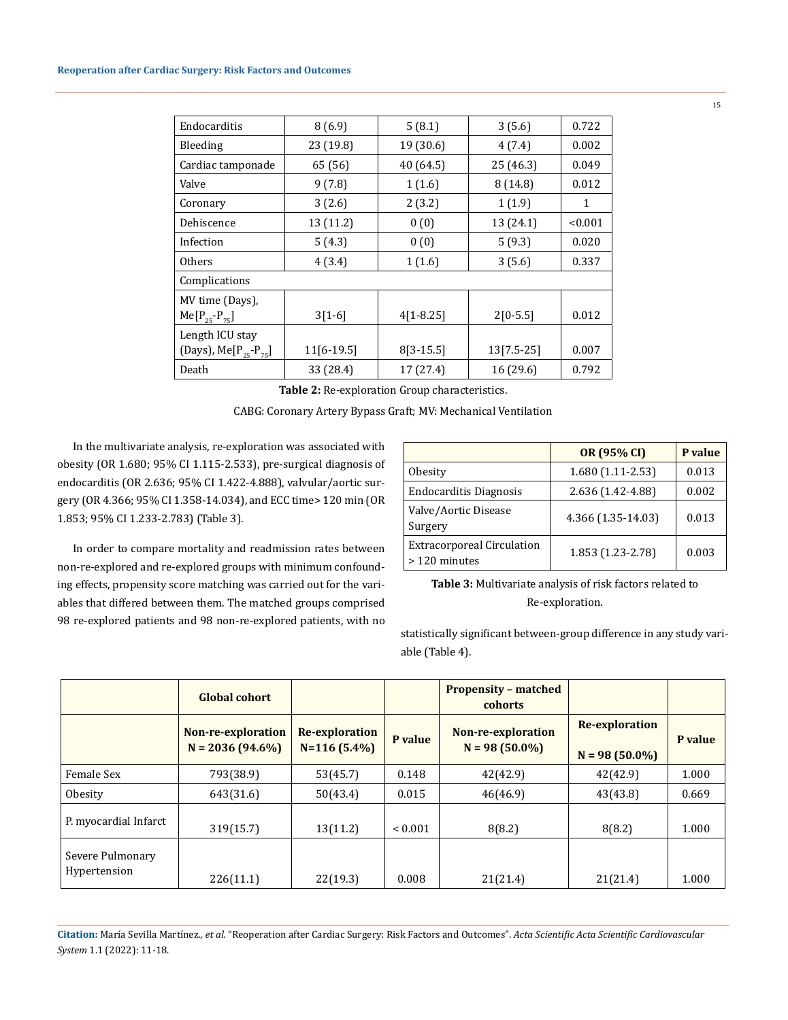| Endocarditis                      | 8(6.9)       | 5(8.1)      | 3(5.6)       | 0.722   |
|-----------------------------------|--------------|-------------|--------------|---------|
| Bleeding                          | 23 (19.8)    | 19 (30.6)   | 4(7.4)       | 0.002   |
| Cardiac tamponade                 | 65 (56)      | 40 (64.5)   | 25 (46.3)    | 0.049   |
| Valve                             | 9(7.8)       | 1(1.6)      | 8(14.8)      | 0.012   |
| Coronary                          | 3(2.6)       | 2(3.2)      | 1(1.9)       | 1       |
| Dehiscence                        | 13 (11.2)    | 0(0)        | 13 (24.1)    | < 0.001 |
| Infection                         | 5(4.3)       | 0(0)        | 5(9.3)       | 0.020   |
| <b>Others</b>                     | 4(3.4)       | 1(1.6)      | 3(5.6)       | 0.337   |
| Complications                     |              |             |              |         |
| MV time (Days),                   |              |             |              |         |
| $Me[P_{25} - P_{75}]$             | $3[1-6]$     | $4[1-8.25]$ | $2[0-5.5]$   | 0.012   |
| Length ICU stay                   |              |             |              |         |
| (Days), Me[ $P_{25}$ - $P_{75}$ ] | $11[6-19.5]$ | $8[3-15.5]$ | $13[7.5-25]$ | 0.007   |
| Death                             | 33 (28.4)    | 17 (27.4)   | 16 (29.6)    | 0.792   |

**Table 2:** Re-exploration Group characteristics.

CABG: Coronary Artery Bypass Graft; MV: Mechanical Ventilation

In the multivariate analysis, re-exploration was associated with obesity (OR 1.680; 95% CI 1.115-2.533), pre-surgical diagnosis of endocarditis (OR 2.636; 95% CI 1.422-4.888), valvular/aortic surgery (OR 4.366; 95% CI 1.358-14.034), and ECC time> 120 min (OR 1.853; 95% CI 1.233-2.783) (Table 3).

In order to compare mortality and readmission rates between non-re-explored and re-explored groups with minimum confounding effects, propensity score matching was carried out for the variables that differed between them. The matched groups comprised 98 re-explored patients and 98 non-re-explored patients, with no

|                                                   | OR (95% CI)        | P value |
|---------------------------------------------------|--------------------|---------|
| Obesity                                           | $1.680(1.11-2.53)$ | 0.013   |
| <b>Endocarditis Diagnosis</b>                     | 2.636 (1.42-4.88)  | 0.002   |
| Valve/Aortic Disease<br>Surgery                   | 4.366 (1.35-14.03) | 0.013   |
| <b>Extracorporeal Circulation</b><br>>120 minutes | 1.853 (1.23-2.78)  | 0.003   |

**Table 3:** Multivariate analysis of risk factors related to Re-exploration.

statistically significant between-group difference in any study variable (Table 4).

|                                  | <b>Global cohort</b>                    |                                         |         | <b>Propensity - matched</b><br>cohorts |                                    |         |
|----------------------------------|-----------------------------------------|-----------------------------------------|---------|----------------------------------------|------------------------------------|---------|
|                                  | Non-re-exploration<br>$N = 2036(94.6%)$ | <b>Re-exploration</b><br>$N=116(5.4\%)$ | P value | Non-re-exploration<br>$N = 98(50.0\%)$ | Re-exploration<br>$N = 98(50.0\%)$ | P value |
| Female Sex                       | 793(38.9)                               | 53(45.7)                                | 0.148   | 42(42.9)                               | 42(42.9)                           | 1.000   |
| Obesity                          | 643(31.6)                               | 50(43.4)                                | 0.015   | 46(46.9)                               | 43(43.8)                           | 0.669   |
| P. myocardial Infarct            | 319(15.7)                               | 13(11.2)                                | < 0.001 | 8(8.2)                                 | 8(8.2)                             | 1.000   |
| Severe Pulmonary<br>Hypertension | 226(11.1)                               | 22(19.3)                                | 0.008   | 21(21.4)                               | 21(21.4)                           | 1.000   |

**Citation:** María Sevilla Martínez*., et al.* "Reoperation after Cardiac Surgery: Risk Factors and Outcomes". *Acta Scientific Acta Scientific Cardiovascular System* 1.1 (2022): 11-18.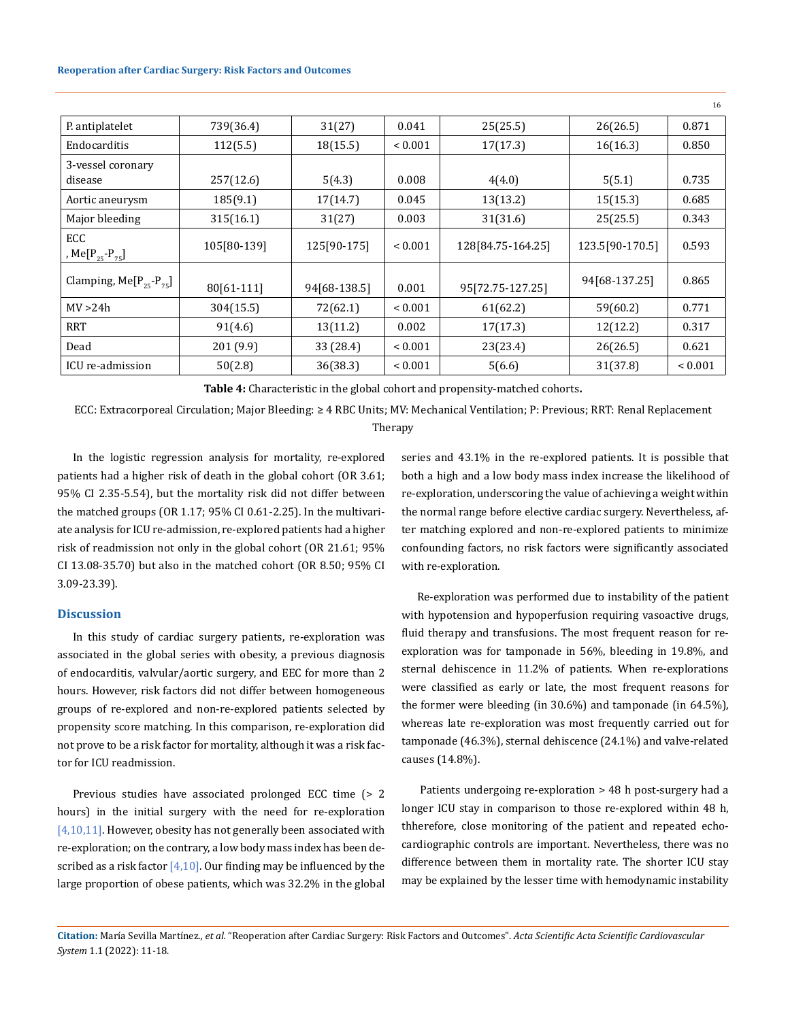### **Reoperation after Cardiac Surgery: Risk Factors and Outcomes**

|                                    |             |              |              |                   |                 | 16           |
|------------------------------------|-------------|--------------|--------------|-------------------|-----------------|--------------|
| P. antiplatelet                    | 739(36.4)   | 31(27)       | 0.041        | 25(25.5)          | 26(26.5)        | 0.871        |
| Endocarditis                       | 112(5.5)    | 18(15.5)     | ${}_{0.001}$ | 17(17.3)          | 16(16.3)        | 0.850        |
| 3-vessel coronary                  |             |              |              |                   |                 |              |
| disease                            | 257(12.6)   | 5(4.3)       | 0.008        | 4(4.0)            | 5(5.1)          | 0.735        |
| Aortic aneurysm                    | 185(9.1)    | 17(14.7)     | 0.045        | 13(13.2)          | 15(15.3)        | 0.685        |
| Major bleeding                     | 315(16.1)   | 31(27)       | 0.003        | 31(31.6)          | 25(25.5)        | 0.343        |
| ECC<br>, Me[ $P_{25}$ - $P_{75}$ ] | 105[80-139] | 125[90-175]  | ${}_{0.001}$ | 128[84.75-164.25] | 123.5[90-170.5] | 0.593        |
| Clamping, $Me[P_{25}-P_{75}]$      | 80[61-111]  | 94[68-138.5] | 0.001        | 95[72.75-127.25]  | 94[68-137.25]   | 0.865        |
| MV > 24h                           | 304(15.5)   | 72(62.1)     | ${}_{0.001}$ | 61(62.2)          | 59(60.2)        | 0.771        |
| <b>RRT</b>                         | 91(4.6)     | 13(11.2)     | 0.002        | 17(17.3)          | 12(12.2)        | 0.317        |
| Dead                               | 201 (9.9)   | 33 (28.4)    | ${}_{0.001}$ | 23(23.4)          | 26(26.5)        | 0.621        |
| ICU re-admission                   | 50(2.8)     | 36(38.3)     | ${}_{0.001}$ | 5(6.6)            | 31(37.8)        | ${}_{0.001}$ |

**Table 4:** Characteristic in the global cohort and propensity-matched cohorts**.**

ECC: Extracorporeal Circulation; Major Bleeding: ≥ 4 RBC Units; MV: Mechanical Ventilation; P: Previous; RRT: Renal Replacement

## Therapy

In the logistic regression analysis for mortality, re-explored patients had a higher risk of death in the global cohort (OR 3.61; 95% CI 2.35-5.54), but the mortality risk did not differ between the matched groups (OR 1.17; 95% CI 0.61-2.25). In the multivariate analysis for ICU re-admission, re-explored patients had a higher risk of readmission not only in the global cohort (OR 21.61; 95% CI 13.08-35.70) but also in the matched cohort (OR 8.50; 95% CI 3.09-23.39).

## **Discussion**

In this study of cardiac surgery patients, re-exploration was associated in the global series with obesity, a previous diagnosis of endocarditis, valvular/aortic surgery, and EEC for more than 2 hours. However, risk factors did not differ between homogeneous groups of re-explored and non-re-explored patients selected by propensity score matching. In this comparison, re-exploration did not prove to be a risk factor for mortality, although it was a risk factor for ICU readmission.

Previous studies have associated prolonged ECC time (> 2 hours) in the initial surgery with the need for re-exploration [4,10,11]. However, obesity has not generally been associated with re-exploration; on the contrary, a low body mass index has been described as a risk factor  $[4,10]$ . Our finding may be influenced by the large proportion of obese patients, which was 32.2% in the global series and 43.1% in the re-explored patients. It is possible that both a high and a low body mass index increase the likelihood of re-exploration, underscoring the value of achieving a weight within the normal range before elective cardiac surgery. Nevertheless, after matching explored and non-re-explored patients to minimize confounding factors, no risk factors were significantly associated with re-exploration.

Re-exploration was performed due to instability of the patient with hypotension and hypoperfusion requiring vasoactive drugs, fluid therapy and transfusions. The most frequent reason for reexploration was for tamponade in 56%, bleeding in 19.8%, and sternal dehiscence in 11.2% of patients. When re-explorations were classified as early or late, the most frequent reasons for the former were bleeding (in 30.6%) and tamponade (in 64.5%), whereas late re-exploration was most frequently carried out for tamponade (46.3%), sternal dehiscence (24.1%) and valve-related causes (14.8%).

 Patients undergoing re-exploration > 48 h post-surgery had a longer ICU stay in comparison to those re-explored within 48 h, thherefore, close monitoring of the patient and repeated echocardiographic controls are important. Nevertheless, there was no difference between them in mortality rate. The shorter ICU stay may be explained by the lesser time with hemodynamic instability

**Citation:** María Sevilla Martínez*., et al.* "Reoperation after Cardiac Surgery: Risk Factors and Outcomes". *Acta Scientific Acta Scientific Cardiovascular System* 1.1 (2022): 11-18.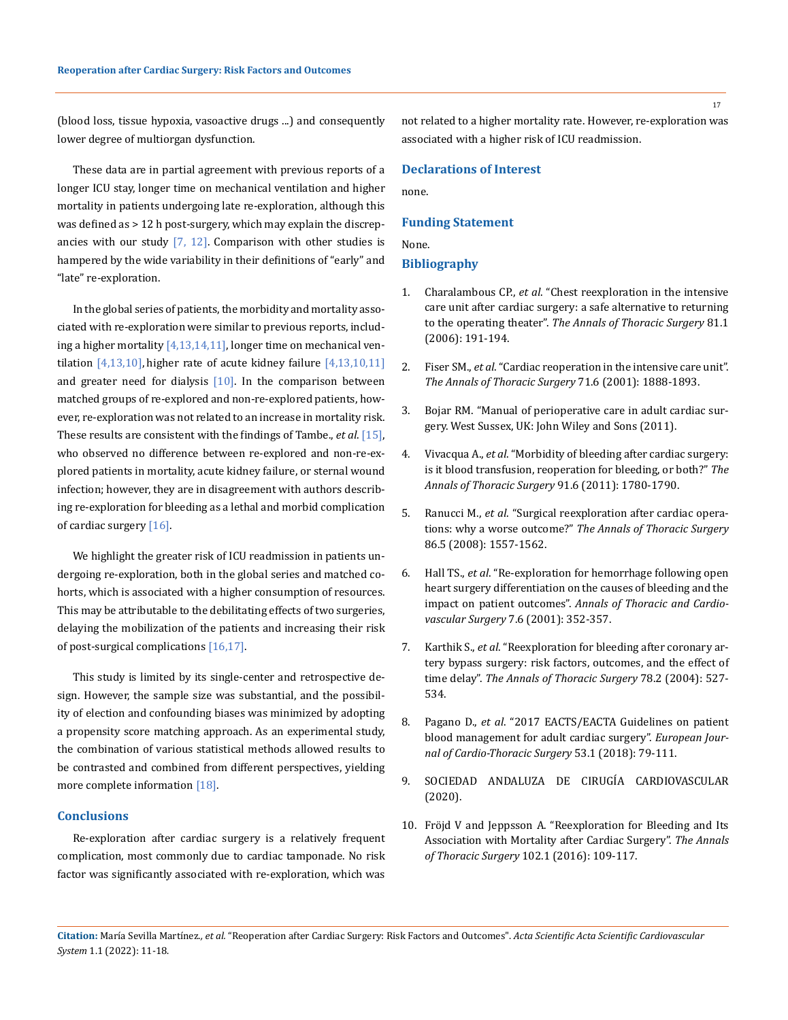(blood loss, tissue hypoxia, vasoactive drugs ...) and consequently lower degree of multiorgan dysfunction.

These data are in partial agreement with previous reports of a longer ICU stay, longer time on mechanical ventilation and higher mortality in patients undergoing late re-exploration, although this was defined as > 12 h post-surgery, which may explain the discrepancies with our study  $[7, 12]$ . Comparison with other studies is hampered by the wide variability in their definitions of "early" and "late" re-exploration.

In the global series of patients, the morbidity and mortality associated with re-exploration were similar to previous reports, including a higher mortality  $[4,13,14,11]$ , longer time on mechanical ventilation  $[4,13,10]$ , higher rate of acute kidney failure  $[4,13,10,11]$ and greater need for dialysis  $[10]$ . In the comparison between matched groups of re-explored and non-re-explored patients, however, re-exploration was not related to an increase in mortality risk. These results are consistent with the findings of Tambe., *et al*. [15], who observed no difference between re-explored and non-re-explored patients in mortality, acute kidney failure, or sternal wound infection; however, they are in disagreement with authors describing re-exploration for bleeding as a lethal and morbid complication of cardiac surgery [16].

We highlight the greater risk of ICU readmission in patients undergoing re-exploration, both in the global series and matched cohorts, which is associated with a higher consumption of resources. This may be attributable to the debilitating effects of two surgeries, delaying the mobilization of the patients and increasing their risk of post-surgical complications [16,17].

This study is limited by its single-center and retrospective design. However, the sample size was substantial, and the possibility of election and confounding biases was minimized by adopting a propensity score matching approach. As an experimental study, the combination of various statistical methods allowed results to be contrasted and combined from different perspectives, yielding more complete information [18].

## **Conclusions**

Re-exploration after cardiac surgery is a relatively frequent complication, most commonly due to cardiac tamponade. No risk factor was significantly associated with re-exploration, which was

not related to a higher mortality rate. However, re-exploration was associated with a higher risk of ICU readmission.

## **Declarations of Interest**

none.

#### **Funding Statement**

#### None.

#### **Bibliography**

- 1. Charalambous CP., *et al*[. "Chest reexploration in the intensive](https://www.annalsthoracicsurgery.org/article/S0003-4975(05)01029-5/fulltext)  [care unit after cardiac surgery: a safe alternative to returning](https://www.annalsthoracicsurgery.org/article/S0003-4975(05)01029-5/fulltext)  to the operating theater". *[The Annals of Thoracic Surgery](https://www.annalsthoracicsurgery.org/article/S0003-4975(05)01029-5/fulltext)* 81.1 [\(2006\): 191-194.](https://www.annalsthoracicsurgery.org/article/S0003-4975(05)01029-5/fulltext)
- 2. Fiser SM., *et al*[. "Cardiac reoperation in the intensive care unit".](https://pubmed.ncbi.nlm.nih.gov/11426764/)  *[The Annals of Thoracic Surgery](https://pubmed.ncbi.nlm.nih.gov/11426764/)* 71.6 (2001): 1888-1893.
- 3. [Bojar RM. "Manual of perioperative care in adult cardiac sur](https://www.wiley.com/en-gb/Manual+of+Perioperative+Care+in+Adult+Cardiac+Surgery%2C+5th+Edition-p-9781444348248)[gery. West Sussex, UK: John Wiley and Sons \(2011\).](https://www.wiley.com/en-gb/Manual+of+Perioperative+Care+in+Adult+Cardiac+Surgery%2C+5th+Edition-p-9781444348248)
- 4. Vivacqua A., *et al*[. "Morbidity of bleeding after cardiac surgery:](https://www.annalsthoracicsurgery.org/article/S0003-4975(11)00792-2/pdf)  [is it blood transfusion, reoperation for bleeding, or both?"](https://www.annalsthoracicsurgery.org/article/S0003-4975(11)00792-2/pdf) *The [Annals of Thoracic Surgery](https://www.annalsthoracicsurgery.org/article/S0003-4975(11)00792-2/pdf)* 91.6 (2011): 1780-1790.
- 5. Ranucci M., *et al*[. "Surgical reexploration after cardiac opera](https://www.annalsthoracicsurgery.org/article/S0003-4975(08)01658-5/pdf)tions: why a worse outcome?" *[The Annals of Thoracic Surgery](https://www.annalsthoracicsurgery.org/article/S0003-4975(08)01658-5/pdf)*  [86.5 \(2008\): 1557-1562.](https://www.annalsthoracicsurgery.org/article/S0003-4975(08)01658-5/pdf)
- 6. Hall TS., *et al*[. "Re-exploration for hemorrhage following open](https://www.ahajournals.org/doi/full/10.1161/str.0000000000000152)  [heart surgery differentiation on the causes of bleeding and the](https://www.ahajournals.org/doi/full/10.1161/str.0000000000000152)  impact on patient outcomes". *[Annals of Thoracic and Cardio](https://www.ahajournals.org/doi/full/10.1161/str.0000000000000152)[vascular Surgery](https://www.ahajournals.org/doi/full/10.1161/str.0000000000000152)* 7.6 (2001): 352-357.
- 7. Karthik S., *et al*[. "Reexploration for bleeding after coronary ar](https://pubmed.ncbi.nlm.nih.gov/15276512/)[tery bypass surgery: risk factors, outcomes, and the effect of](https://pubmed.ncbi.nlm.nih.gov/15276512/)  time delay". *[The Annals of Thoracic Surgery](https://pubmed.ncbi.nlm.nih.gov/15276512/)* 78.2 (2004): 527- [534.](https://pubmed.ncbi.nlm.nih.gov/15276512/)
- 8. Pagano D., *et al*[. "2017 EACTS/EACTA Guidelines on patient](https://pubmed.ncbi.nlm.nih.gov/29029100/)  [blood management for adult cardiac surgery".](https://pubmed.ncbi.nlm.nih.gov/29029100/) *European Jour[nal of Cardio-Thoracic Surgery](https://pubmed.ncbi.nlm.nih.gov/29029100/)* 53.1 (2018): 79-111.
- 9. [SOCIEDAD ANDALUZA DE CIRUGÍA CARDIOVASCULAR](http://www.saccv.org/noticias.html)  [\(2020\).](http://www.saccv.org/noticias.html)
- 10. [Fröjd V and Jeppsson A. "Reexploration for Bleeding and Its](https://www.sciencedirect.com/science/article/abs/pii/S0003497516000072)  [Association with Mortality after Cardiac Surgery".](https://www.sciencedirect.com/science/article/abs/pii/S0003497516000072) *The Annals [of Thoracic Surgery](https://www.sciencedirect.com/science/article/abs/pii/S0003497516000072)* 102.1 (2016): 109-117.

**Citation:** María Sevilla Martínez*., et al.* "Reoperation after Cardiac Surgery: Risk Factors and Outcomes". *Acta Scientific Acta Scientific Cardiovascular System* 1.1 (2022): 11-18.

17